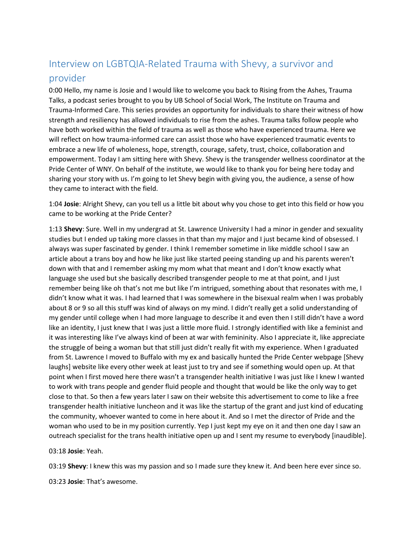# Interview on LGBTQIA-Related Trauma with Shevy, a survivor and provider

0:00 Hello, my name is Josie and I would like to welcome you back to Rising from the Ashes, Trauma Talks, a podcast series brought to you by UB School of Social Work, The Institute on Trauma and Trauma-Informed Care. This series provides an opportunity for individuals to share their witness of how strength and resiliency has allowed individuals to rise from the ashes. Trauma talks follow people who have both worked within the field of trauma as well as those who have experienced trauma. Here we will reflect on how trauma-informed care can assist those who have experienced traumatic events to embrace a new life of wholeness, hope, strength, courage, safety, trust, choice, collaboration and empowerment. Today I am sitting here with Shevy. Shevy is the transgender wellness coordinator at the Pride Center of WNY. On behalf of the institute, we would like to thank you for being here today and sharing your story with us. I'm going to let Shevy begin with giving you, the audience, a sense of how they came to interact with the field.

1:04 **Josie**: Alright Shevy, can you tell us a little bit about why you chose to get into this field or how you came to be working at the Pride Center?

1:13 **Shevy**: Sure. Well in my undergrad at St. Lawrence University I had a minor in gender and sexuality studies but I ended up taking more classes in that than my major and I just became kind of obsessed. I always was super fascinated by gender. I think I remember sometime in like middle school I saw an article about a trans boy and how he like just like started peeing standing up and his parents weren't down with that and I remember asking my mom what that meant and I don't know exactly what language she used but she basically described transgender people to me at that point, and I just remember being like oh that's not me but like I'm intrigued, something about that resonates with me, I didn't know what it was. I had learned that I was somewhere in the bisexual realm when I was probably about 8 or 9 so all this stuff was kind of always on my mind. I didn't really get a solid understanding of my gender until college when I had more language to describe it and even then I still didn't have a word like an identity, I just knew that I was just a little more fluid. I strongly identified with like a feminist and it was interesting like I've always kind of been at war with femininity. Also I appreciate it, like appreciate the struggle of being a woman but that still just didn't really fit with my experience. When I graduated from St. Lawrence I moved to Buffalo with my ex and basically hunted the Pride Center webpage [Shevy laughs] website like every other week at least just to try and see if something would open up. At that point when I first moved here there wasn't a transgender health initiative I was just like I knew I wanted to work with trans people and gender fluid people and thought that would be like the only way to get close to that. So then a few years later I saw on their website this advertisement to come to like a free transgender health initiative luncheon and it was like the startup of the grant and just kind of educating the community, whoever wanted to come in here about it. And so I met the director of Pride and the woman who used to be in my position currently. Yep I just kept my eye on it and then one day I saw an outreach specialist for the trans health initiative open up and I sent my resume to everybody [inaudible].

#### 03:18 **Josie**: Yeah.

03:19 **Shevy**: I knew this was my passion and so I made sure they knew it. And been here ever since so.

03:23 **Josie**: That's awesome.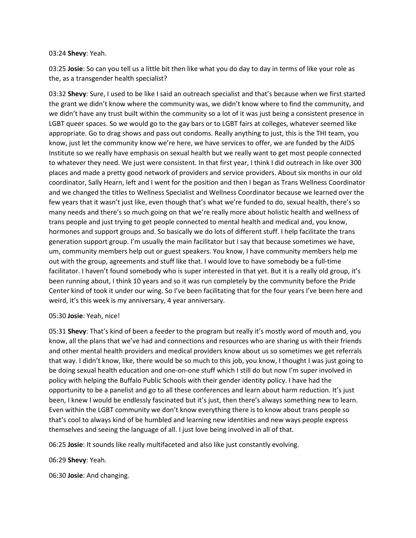#### 03:24 **Shevy**: Yeah.

03:25 **Josie**: So can you tell us a little bit then like what you do day to day in terms of like your role as the, as a transgender health specialist?

03:32 **Shevy**: Sure, I used to be like I said an outreach specialist and that's because when we first started the grant we didn't know where the community was, we didn't know where to find the community, and we didn't have any trust built within the community so a lot of it was just being a consistent presence in LGBT queer spaces. So we would go to the gay bars or to LGBT fairs at colleges, whatever seemed like appropriate. Go to drag shows and pass out condoms. Really anything to just, this is the THI team, you know, just let the community know we're here, we have services to offer, we are funded by the AIDS Institute so we really have emphasis on sexual health but we really want to get most people connected to whatever they need. We just were consistent. In that first year, I think I did outreach in like over 300 places and made a pretty good network of providers and service providers. About six months in our old coordinator, Sally Hearn, left and I went for the position and then I began as Trans Wellness Coordinator and we changed the titles to Wellness Specialist and Wellness Coordinator because we learned over the few years that it wasn't just like, even though that's what we're funded to do, sexual health, there's so many needs and there's so much going on that we're really more about holistic health and wellness of trans people and just trying to get people connected to mental health and medical and, you know, hormones and support groups and. So basically we do lots of different stuff. I help facilitate the trans generation support group. I'm usually the main facilitator but I say that because sometimes we have, um, community members help out or guest speakers. You know, I have community members help me out with the group, agreements and stuff like that. I would love to have somebody be a full-time facilitator. I haven't found somebody who is super interested in that yet. But it is a really old group, it's been running about, I think 10 years and so it was run completely by the community before the Pride Center kind of took it under our wing. So I've been facilitating that for the four years I've been here and weird, it's this week is my anniversary, 4 year anniversary.

## 05:30 **Josie**: Yeah, nice!

05:31 **Shevy**: That's kind of been a feeder to the program but really it's mostly word of mouth and, you know, all the plans that we've had and connections and resources who are sharing us with their friends and other mental health providers and medical providers know about us so sometimes we get referrals that way. I didn't know, like, there would be so much to this job, you know, I thought I was just going to be doing sexual health education and one-on-one stuff which I still do but now I'm super involved in policy with helping the Buffalo Public Schools with their gender identity policy. I have had the opportunity to be a panelist and go to all these conferences and learn about harm reduction. It's just been, I knew I would be endlessly fascinated but it's just, then there's always something new to learn. Even within the LGBT community we don't know everything there is to know about trans people so that's cool to always kind of be humbled and learning new identities and new ways people express themselves and seeing the language of all. I just love being involved in all of that.

06:25 **Josie**: It sounds like really multifaceted and also like just constantly evolving.

06:29 **Shevy**: Yeah.

06:30 **Josie**: And changing.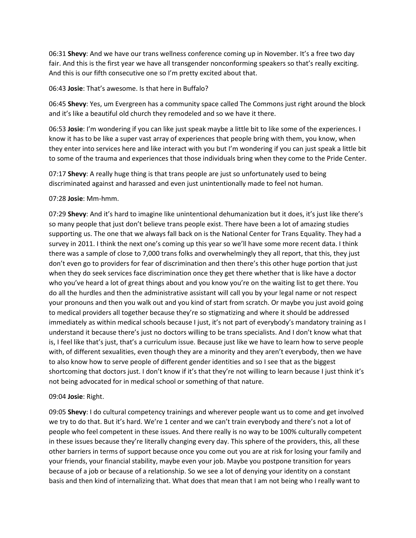06:31 **Shevy**: And we have our trans wellness conference coming up in November. It's a free two day fair. And this is the first year we have all transgender nonconforming speakers so that's really exciting. And this is our fifth consecutive one so I'm pretty excited about that.

06:43 **Josie**: That's awesome. Is that here in Buffalo?

06:45 **Shevy**: Yes, um Evergreen has a community space called The Commons just right around the block and it's like a beautiful old church they remodeled and so we have it there.

06:53 **Josie**: I'm wondering if you can like just speak maybe a little bit to like some of the experiences. I know it has to be like a super vast array of experiences that people bring with them, you know, when they enter into services here and like interact with you but I'm wondering if you can just speak a little bit to some of the trauma and experiences that those individuals bring when they come to the Pride Center.

07:17 **Shevy**: A really huge thing is that trans people are just so unfortunately used to being discriminated against and harassed and even just unintentionally made to feel not human.

07:28 **Josie**: Mm-hmm.

07:29 **Shevy**: And it's hard to imagine like unintentional dehumanization but it does, it's just like there's so many people that just don't believe trans people exist. There have been a lot of amazing studies supporting us. The one that we always fall back on is the National Center for Trans Equality. They had a survey in 2011. I think the next one's coming up this year so we'll have some more recent data. I think there was a sample of close to 7,000 trans folks and overwhelmingly they all report, that this, they just don't even go to providers for fear of discrimination and then there's this other huge portion that just when they do seek services face discrimination once they get there whether that is like have a doctor who you've heard a lot of great things about and you know you're on the waiting list to get there. You do all the hurdles and then the administrative assistant will call you by your legal name or not respect your pronouns and then you walk out and you kind of start from scratch. Or maybe you just avoid going to medical providers all together because they're so stigmatizing and where it should be addressed immediately as within medical schools because I just, it's not part of everybody's mandatory training as I understand it because there's just no doctors willing to be trans specialists. And I don't know what that is, I feel like that's just, that's a curriculum issue. Because just like we have to learn how to serve people with, of different sexualities, even though they are a minority and they aren't everybody, then we have to also know how to serve people of different gender identities and so I see that as the biggest shortcoming that doctors just. I don't know if it's that they're not willing to learn because I just think it's not being advocated for in medical school or something of that nature.

## 09:04 **Josie**: Right.

09:05 **Shevy**: I do cultural competency trainings and wherever people want us to come and get involved we try to do that. But it's hard. We're 1 center and we can't train everybody and there's not a lot of people who feel competent in these issues. And there really is no way to be 100% culturally competent in these issues because they're literally changing every day. This sphere of the providers, this, all these other barriers in terms of support because once you come out you are at risk for losing your family and your friends, your financial stability, maybe even your job. Maybe you postpone transition for years because of a job or because of a relationship. So we see a lot of denying your identity on a constant basis and then kind of internalizing that. What does that mean that I am not being who I really want to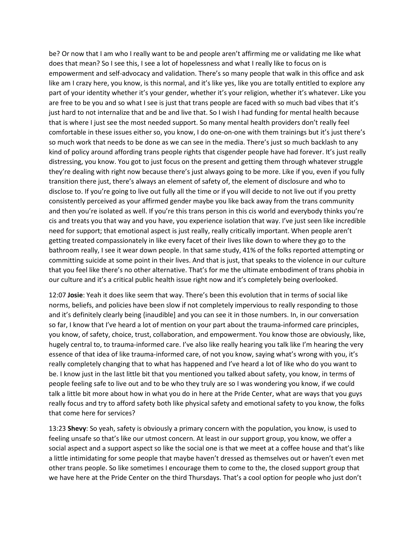be? Or now that I am who I really want to be and people aren't affirming me or validating me like what does that mean? So I see this, I see a lot of hopelessness and what I really like to focus on is empowerment and self-advocacy and validation. There's so many people that walk in this office and ask like am I crazy here, you know, is this normal, and it's like yes, like you are totally entitled to explore any part of your identity whether it's your gender, whether it's your religion, whether it's whatever. Like you are free to be you and so what I see is just that trans people are faced with so much bad vibes that it's just hard to not internalize that and be and live that. So I wish I had funding for mental health because that is where I just see the most needed support. So many mental health providers don't really feel comfortable in these issues either so, you know, I do one-on-one with them trainings but it's just there's so much work that needs to be done as we can see in the media. There's just so much backlash to any kind of policy around affording trans people rights that cisgender people have had forever. It's just really distressing, you know. You got to just focus on the present and getting them through whatever struggle they're dealing with right now because there's just always going to be more. Like if you, even if you fully transition there just, there's always an element of safety of, the element of disclosure and who to disclose to. If you're going to live out fully all the time or if you will decide to not live out if you pretty consistently perceived as your affirmed gender maybe you like back away from the trans community and then you're isolated as well. If you're this trans person in this cis world and everybody thinks you're cis and treats you that way and you have, you experience isolation that way. I've just seen like incredible need for support; that emotional aspect is just really, really critically important. When people aren't getting treated compassionately in like every facet of their lives like down to where they go to the bathroom really, I see it wear down people. In that same study, 41% of the folks reported attempting or committing suicide at some point in their lives. And that is just, that speaks to the violence in our culture that you feel like there's no other alternative. That's for me the ultimate embodiment of trans phobia in our culture and it's a critical public health issue right now and it's completely being overlooked.

12:07 **Josie**: Yeah it does like seem that way. There's been this evolution that in terms of social like norms, beliefs, and policies have been slow if not completely impervious to really responding to those and it's definitely clearly being {inaudible] and you can see it in those numbers. In, in our conversation so far, I know that I've heard a lot of mention on your part about the trauma-informed care principles, you know, of safety, choice, trust, collaboration, and empowerment. You know those are obviously, like, hugely central to, to trauma-informed care. I've also like really hearing you talk like I'm hearing the very essence of that idea of like trauma-informed care, of not you know, saying what's wrong with you, it's really completely changing that to what has happened and I've heard a lot of like who do you want to be. I know just in the last little bit that you mentioned you talked about safety, you know, in terms of people feeling safe to live out and to be who they truly are so I was wondering you know, if we could talk a little bit more about how in what you do in here at the Pride Center, what are ways that you guys really focus and try to afford safety both like physical safety and emotional safety to you know, the folks that come here for services?

13:23 **Shevy**: So yeah, safety is obviously a primary concern with the population, you know, is used to feeling unsafe so that's like our utmost concern. At least in our support group, you know, we offer a social aspect and a support aspect so like the social one is that we meet at a coffee house and that's like a little intimidating for some people that maybe haven't dressed as themselves out or haven't even met other trans people. So like sometimes I encourage them to come to the, the closed support group that we have here at the Pride Center on the third Thursdays. That's a cool option for people who just don't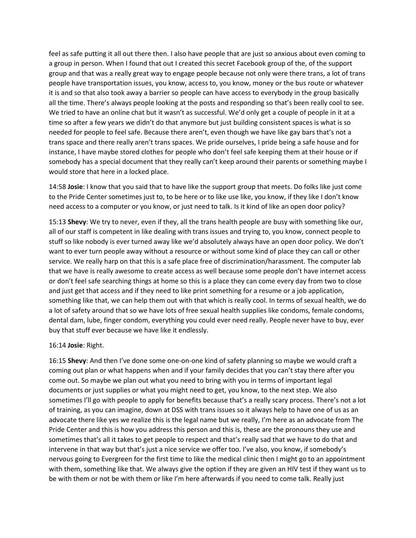feel as safe putting it all out there then. I also have people that are just so anxious about even coming to a group in person. When I found that out I created this secret Facebook group of the, of the support group and that was a really great way to engage people because not only were there trans, a lot of trans people have transportation issues, you know, access to, you know, money or the bus route or whatever it is and so that also took away a barrier so people can have access to everybody in the group basically all the time. There's always people looking at the posts and responding so that's been really cool to see. We tried to have an online chat but it wasn't as successful. We'd only get a couple of people in it at a time so after a few years we didn't do that anymore but just building consistent spaces is what is so needed for people to feel safe. Because there aren't, even though we have like gay bars that's not a trans space and there really aren't trans spaces. We pride ourselves, I pride being a safe house and for instance, I have maybe stored clothes for people who don't feel safe keeping them at their house or if somebody has a special document that they really can't keep around their parents or something maybe I would store that here in a locked place.

14:58 **Josie**: I know that you said that to have like the support group that meets. Do folks like just come to the Pride Center sometimes just to, to be here or to like use like, you know, if they like I don't know need access to a computer or you know, or just need to talk. Is it kind of like an open door policy?

15:13 **Shevy**: We try to never, even if they, all the trans health people are busy with something like our, all of our staff is competent in like dealing with trans issues and trying to, you know, connect people to stuff so like nobody is ever turned away like we'd absolutely always have an open door policy. We don't want to ever turn people away without a resource or without some kind of place they can call or other service. We really harp on that this is a safe place free of discrimination/harassment. The computer lab that we have is really awesome to create access as well because some people don't have internet access or don't feel safe searching things at home so this is a place they can come every day from two to close and just get that access and if they need to like print something for a resume or a job application, something like that, we can help them out with that which is really cool. In terms of sexual health, we do a lot of safety around that so we have lots of free sexual health supplies like condoms, female condoms, dental dam, lube, finger condom, everything you could ever need really. People never have to buy, ever buy that stuff ever because we have like it endlessly.

## 16:14 **Josie**: Right.

16:15 **Shevy**: And then I've done some one-on-one kind of safety planning so maybe we would craft a coming out plan or what happens when and if your family decides that you can't stay there after you come out. So maybe we plan out what you need to bring with you in terms of important legal documents or just supplies or what you might need to get, you know, to the next step. We also sometimes I'll go with people to apply for benefits because that's a really scary process. There's not a lot of training, as you can imagine, down at DSS with trans issues so it always help to have one of us as an advocate there like yes we realize this is the legal name but we really, I'm here as an advocate from The Pride Center and this is how you address this person and this is, these are the pronouns they use and sometimes that's all it takes to get people to respect and that's really sad that we have to do that and intervene in that way but that's just a nice service we offer too. I've also, you know, if somebody's nervous going to Evergreen for the first time to like the medical clinic then I might go to an appointment with them, something like that. We always give the option if they are given an HIV test if they want us to be with them or not be with them or like I'm here afterwards if you need to come talk. Really just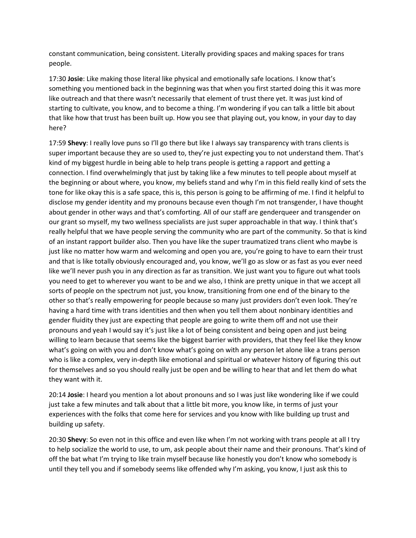constant communication, being consistent. Literally providing spaces and making spaces for trans people.

17:30 **Josie**: Like making those literal like physical and emotionally safe locations. I know that's something you mentioned back in the beginning was that when you first started doing this it was more like outreach and that there wasn't necessarily that element of trust there yet. It was just kind of starting to cultivate, you know, and to become a thing. I'm wondering if you can talk a little bit about that like how that trust has been built up. How you see that playing out, you know, in your day to day here?

17:59 **Shevy**: I really love puns so I'll go there but like I always say transparency with trans clients is super important because they are so used to, they're just expecting you to not understand them. That's kind of my biggest hurdle in being able to help trans people is getting a rapport and getting a connection. I find overwhelmingly that just by taking like a few minutes to tell people about myself at the beginning or about where, you know, my beliefs stand and why I'm in this field really kind of sets the tone for like okay this is a safe space, this is, this person is going to be affirming of me. I find it helpful to disclose my gender identity and my pronouns because even though I'm not transgender, I have thought about gender in other ways and that's comforting. All of our staff are genderqueer and transgender on our grant so myself, my two wellness specialists are just super approachable in that way. I think that's really helpful that we have people serving the community who are part of the community. So that is kind of an instant rapport builder also. Then you have like the super traumatized trans client who maybe is just like no matter how warm and welcoming and open you are, you're going to have to earn their trust and that is like totally obviously encouraged and, you know, we'll go as slow or as fast as you ever need like we'll never push you in any direction as far as transition. We just want you to figure out what tools you need to get to wherever you want to be and we also, I think are pretty unique in that we accept all sorts of people on the spectrum not just, you know, transitioning from one end of the binary to the other so that's really empowering for people because so many just providers don't even look. They're having a hard time with trans identities and then when you tell them about nonbinary identities and gender fluidity they just are expecting that people are going to write them off and not use their pronouns and yeah I would say it's just like a lot of being consistent and being open and just being willing to learn because that seems like the biggest barrier with providers, that they feel like they know what's going on with you and don't know what's going on with any person let alone like a trans person who is like a complex, very in-depth like emotional and spiritual or whatever history of figuring this out for themselves and so you should really just be open and be willing to hear that and let them do what they want with it.

20:14 **Josie**: I heard you mention a lot about pronouns and so I was just like wondering like if we could just take a few minutes and talk about that a little bit more, you know like, in terms of just your experiences with the folks that come here for services and you know with like building up trust and building up safety.

20:30 **Shevy**: So even not in this office and even like when I'm not working with trans people at all I try to help socialize the world to use, to um, ask people about their name and their pronouns. That's kind of off the bat what I'm trying to like train myself because like honestly you don't know who somebody is until they tell you and if somebody seems like offended why I'm asking, you know, I just ask this to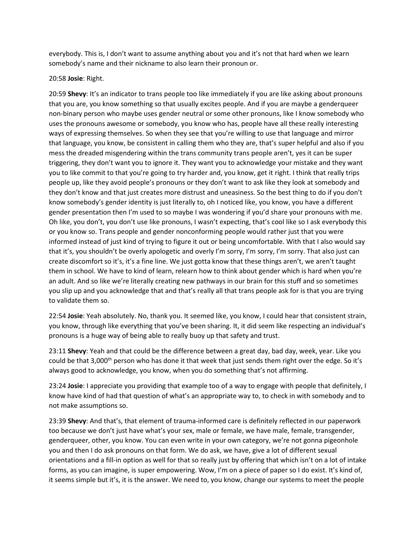everybody. This is, I don't want to assume anything about you and it's not that hard when we learn somebody's name and their nickname to also learn their pronoun or.

## 20:58 **Josie**: Right.

20:59 **Shevy**: It's an indicator to trans people too like immediately if you are like asking about pronouns that you are, you know something so that usually excites people. And if you are maybe a genderqueer non-binary person who maybe uses gender neutral or some other pronouns, like I know somebody who uses the pronouns awesome or somebody, you know who has, people have all these really interesting ways of expressing themselves. So when they see that you're willing to use that language and mirror that language, you know, be consistent in calling them who they are, that's super helpful and also if you mess the dreaded misgendering within the trans community trans people aren't, yes it can be super triggering, they don't want you to ignore it. They want you to acknowledge your mistake and they want you to like commit to that you're going to try harder and, you know, get it right. I think that really trips people up, like they avoid people's pronouns or they don't want to ask like they look at somebody and they don't know and that just creates more distrust and uneasiness. So the best thing to do if you don't know somebody's gender identity is just literally to, oh I noticed like, you know, you have a different gender presentation then I'm used to so maybe I was wondering if you'd share your pronouns with me. Oh like, you don't, you don't use like pronouns, I wasn't expecting, that's cool like so I ask everybody this or you know so. Trans people and gender nonconforming people would rather just that you were informed instead of just kind of trying to figure it out or being uncomfortable. With that I also would say that it's, you shouldn't be overly apologetic and overly I'm sorry, I'm sorry, I'm sorry. That also just can create discomfort so it's, it's a fine line. We just gotta know that these things aren't, we aren't taught them in school. We have to kind of learn, relearn how to think about gender which is hard when you're an adult. And so like we're literally creating new pathways in our brain for this stuff and so sometimes you slip up and you acknowledge that and that's really all that trans people ask for is that you are trying to validate them so.

22:54 **Josie**: Yeah absolutely. No, thank you. It seemed like, you know, I could hear that consistent strain, you know, through like everything that you've been sharing. It, it did seem like respecting an individual's pronouns is a huge way of being able to really buoy up that safety and trust.

23:11 **Shevy**: Yeah and that could be the difference between a great day, bad day, week, year. Like you could be that 3,000<sup>th</sup> person who has done it that week that just sends them right over the edge. So it's always good to acknowledge, you know, when you do something that's not affirming.

23:24 **Josie**: I appreciate you providing that example too of a way to engage with people that definitely, I know have kind of had that question of what's an appropriate way to, to check in with somebody and to not make assumptions so.

23:39 **Shevy**: And that's, that element of trauma-informed care is definitely reflected in our paperwork too because we don't just have what's your sex, male or female, we have male, female, transgender, genderqueer, other, you know. You can even write in your own category, we're not gonna pigeonhole you and then I do ask pronouns on that form. We do ask, we have, give a lot of different sexual orientations and a fill-in option as well for that so really just by offering that which isn't on a lot of intake forms, as you can imagine, is super empowering. Wow, I'm on a piece of paper so I do exist. It's kind of, it seems simple but it's, it is the answer. We need to, you know, change our systems to meet the people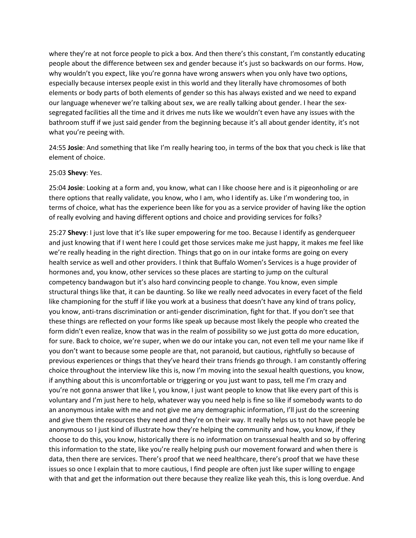where they're at not force people to pick a box. And then there's this constant, I'm constantly educating people about the difference between sex and gender because it's just so backwards on our forms. How, why wouldn't you expect, like you're gonna have wrong answers when you only have two options, especially because intersex people exist in this world and they literally have chromosomes of both elements or body parts of both elements of gender so this has always existed and we need to expand our language whenever we're talking about sex, we are really talking about gender. I hear the sexsegregated facilities all the time and it drives me nuts like we wouldn't even have any issues with the bathroom stuff if we just said gender from the beginning because it's all about gender identity, it's not what you're peeing with.

24:55 **Josie**: And something that like I'm really hearing too, in terms of the box that you check is like that element of choice.

25:03 **Shevy**: Yes.

25:04 **Josie**: Looking at a form and, you know, what can I like choose here and is it pigeonholing or are there options that really validate, you know, who I am, who I identify as. Like I'm wondering too, in terms of choice, what has the experience been like for you as a service provider of having like the option of really evolving and having different options and choice and providing services for folks?

25:27 **Shevy**: I just love that it's like super empowering for me too. Because I identify as genderqueer and just knowing that if I went here I could get those services make me just happy, it makes me feel like we're really heading in the right direction. Things that go on in our intake forms are going on every health service as well and other providers. I think that Buffalo Women's Services is a huge provider of hormones and, you know, other services so these places are starting to jump on the cultural competency bandwagon but it's also hard convincing people to change. You know, even simple structural things like that, it can be daunting. So like we really need advocates in every facet of the field like championing for the stuff if like you work at a business that doesn't have any kind of trans policy, you know, anti-trans discrimination or anti-gender discrimination, fight for that. If you don't see that these things are reflected on your forms like speak up because most likely the people who created the form didn't even realize, know that was in the realm of possibility so we just gotta do more education, for sure. Back to choice, we're super, when we do our intake you can, not even tell me your name like if you don't want to because some people are that, not paranoid, but cautious, rightfully so because of previous experiences or things that they've heard their trans friends go through. I am constantly offering choice throughout the interview like this is, now I'm moving into the sexual health questions, you know, if anything about this is uncomfortable or triggering or you just want to pass, tell me I'm crazy and you're not gonna answer that like I, you know, I just want people to know that like every part of this is voluntary and I'm just here to help, whatever way you need help is fine so like if somebody wants to do an anonymous intake with me and not give me any demographic information, I'll just do the screening and give them the resources they need and they're on their way. It really helps us to not have people be anonymous so I just kind of illustrate how they're helping the community and how, you know, if they choose to do this, you know, historically there is no information on transsexual health and so by offering this information to the state, like you're really helping push our movement forward and when there is data, then there are services. There's proof that we need healthcare, there's proof that we have these issues so once I explain that to more cautious, I find people are often just like super willing to engage with that and get the information out there because they realize like yeah this, this is long overdue. And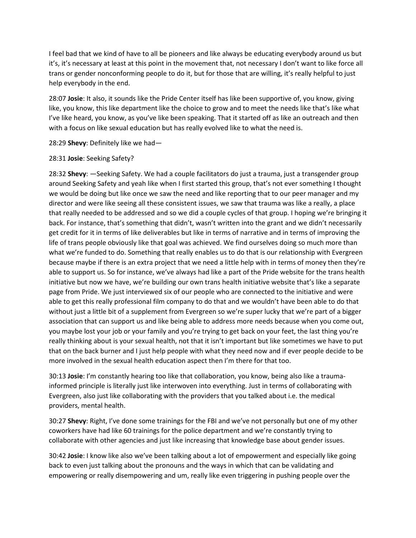I feel bad that we kind of have to all be pioneers and like always be educating everybody around us but it's, it's necessary at least at this point in the movement that, not necessary I don't want to like force all trans or gender nonconforming people to do it, but for those that are willing, it's really helpful to just help everybody in the end.

28:07 **Josie**: It also, it sounds like the Pride Center itself has like been supportive of, you know, giving like, you know, this like department like the choice to grow and to meet the needs like that's like what I've like heard, you know, as you've like been speaking. That it started off as like an outreach and then with a focus on like sexual education but has really evolved like to what the need is.

28:29 **Shevy**: Definitely like we had—

## 28:31 **Josie**: Seeking Safety?

28:32 **Shevy**: —Seeking Safety. We had a couple facilitators do just a trauma, just a transgender group around Seeking Safety and yeah like when I first started this group, that's not ever something I thought we would be doing but like once we saw the need and like reporting that to our peer manager and my director and were like seeing all these consistent issues, we saw that trauma was like a really, a place that really needed to be addressed and so we did a couple cycles of that group. I hoping we're bringing it back. For instance, that's something that didn't, wasn't written into the grant and we didn't necessarily get credit for it in terms of like deliverables but like in terms of narrative and in terms of improving the life of trans people obviously like that goal was achieved. We find ourselves doing so much more than what we're funded to do. Something that really enables us to do that is our relationship with Evergreen because maybe if there is an extra project that we need a little help with in terms of money then they're able to support us. So for instance, we've always had like a part of the Pride website for the trans health initiative but now we have, we're building our own trans health initiative website that's like a separate page from Pride. We just interviewed six of our people who are connected to the initiative and were able to get this really professional film company to do that and we wouldn't have been able to do that without just a little bit of a supplement from Evergreen so we're super lucky that we're part of a bigger association that can support us and like being able to address more needs because when you come out, you maybe lost your job or your family and you're trying to get back on your feet, the last thing you're really thinking about is your sexual health, not that it isn't important but like sometimes we have to put that on the back burner and I just help people with what they need now and if ever people decide to be more involved in the sexual health education aspect then I'm there for that too.

30:13 **Josie**: I'm constantly hearing too like that collaboration, you know, being also like a traumainformed principle is literally just like interwoven into everything. Just in terms of collaborating with Evergreen, also just like collaborating with the providers that you talked about i.e. the medical providers, mental health.

30:27 **Shevy**: Right, I've done some trainings for the FBI and we've not personally but one of my other coworkers have had like 60 trainings for the police department and we're constantly trying to collaborate with other agencies and just like increasing that knowledge base about gender issues.

30:42 **Josie**: I know like also we've been talking about a lot of empowerment and especially like going back to even just talking about the pronouns and the ways in which that can be validating and empowering or really disempowering and um, really like even triggering in pushing people over the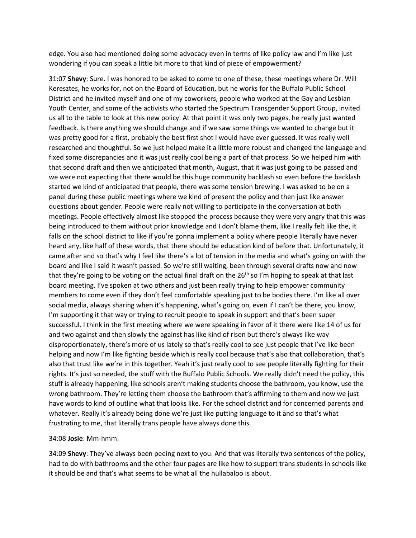edge. You also had mentioned doing some advocacy even in terms of like policy law and I'm like just wondering if you can speak a little bit more to that kind of piece of empowerment?

31:07 **Shevy**: Sure. I was honored to be asked to come to one of these, these meetings where Dr. Will Keresztes, he works for, not on the Board of Education, but he works for the Buffalo Public School District and he invited myself and one of my coworkers, people who worked at the Gay and Lesbian Youth Center, and some of the activists who started the Spectrum Transgender Support Group, invited us all to the table to look at this new policy. At that point it was only two pages, he really just wanted feedback. Is there anything we should change and if we saw some things we wanted to change but it was pretty good for a first, probably the best first shot I would have ever guessed. It was really well researched and thoughtful. So we just helped make it a little more robust and changed the language and fixed some discrepancies and it was just really cool being a part of that process. So we helped him with that second draft and then we anticipated that month, August, that it was just going to be passed and we were not expecting that there would be this huge community backlash so even before the backlash started we kind of anticipated that people, there was some tension brewing. I was asked to be on a panel during these public meetings where we kind of present the policy and then just like answer questions about gender. People were really not willing to participate in the conversation at both meetings. People effectively almost like stopped the process because they were very angry that this was being introduced to them without prior knowledge and I don't blame them, like I really felt like the, it falls on the school district to like if you're gonna implement a policy where people literally have never heard any, like half of these words, that there should be education kind of before that. Unfortunately, it came after and so that's why I feel like there's a lot of tension in the media and what's going on with the board and like I said it wasn't passed. So we're still waiting, been through several drafts now and now that they're going to be voting on the actual final draft on the 26<sup>th</sup> so I'm hoping to speak at that last board meeting. I've spoken at two others and just been really trying to help empower community members to come even if they don't feel comfortable speaking just to be bodies there. I'm like all over social media, always sharing when it's happening, what's going on, even if I can't be there, you know, I'm supporting it that way or trying to recruit people to speak in support and that's been super successful. I think in the first meeting where we were speaking in favor of it there were like 14 of us for and two against and then slowly the against has like kind of risen but there's always like way disproportionately, there's more of us lately so that's really cool to see just people that I've like been helping and now I'm like fighting beside which is really cool because that's also that collaboration, that's also that trust like we're in this together. Yeah it's just really cool to see people literally fighting for their rights. It's just so needed, the stuff with the Buffalo Public Schools. We really didn't need the policy, this stuff is already happening, like schools aren't making students choose the bathroom, you know, use the wrong bathroom. They're letting them choose the bathroom that's affirming to them and now we just have words to kind of outline what that looks like. For the school district and for concerned parents and whatever. Really it's already being done we're just like putting language to it and so that's what frustrating to me, that literally trans people have always done this.

#### 34:08 **Josie**: Mm-hmm.

34:09 **Shevy**: They've always been peeing next to you. And that was literally two sentences of the policy, had to do with bathrooms and the other four pages are like how to support trans students in schools like it should be and that's what seems to be what all the hullabaloo is about.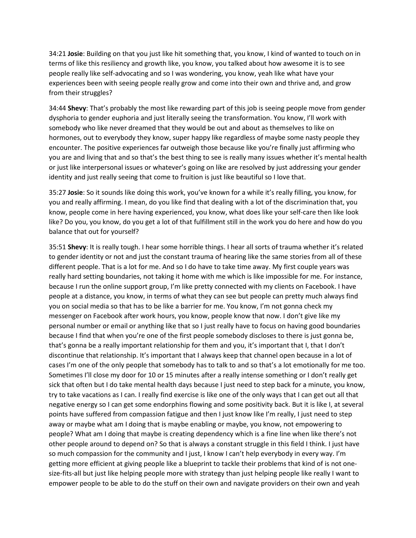34:21 **Josie**: Building on that you just like hit something that, you know, I kind of wanted to touch on in terms of like this resiliency and growth like, you know, you talked about how awesome it is to see people really like self-advocating and so I was wondering, you know, yeah like what have your experiences been with seeing people really grow and come into their own and thrive and, and grow from their struggles?

34:44 **Shevy**: That's probably the most like rewarding part of this job is seeing people move from gender dysphoria to gender euphoria and just literally seeing the transformation. You know, I'll work with somebody who like never dreamed that they would be out and about as themselves to like on hormones, out to everybody they know, super happy like regardless of maybe some nasty people they encounter. The positive experiences far outweigh those because like you're finally just affirming who you are and living that and so that's the best thing to see is really many issues whether it's mental health or just like interpersonal issues or whatever's going on like are resolved by just addressing your gender identity and just really seeing that come to fruition is just like beautiful so I love that.

35:27 **Josie**: So it sounds like doing this work, you've known for a while it's really filling, you know, for you and really affirming. I mean, do you like find that dealing with a lot of the discrimination that, you know, people come in here having experienced, you know, what does like your self-care then like look like? Do you, you know, do you get a lot of that fulfillment still in the work you do here and how do you balance that out for yourself?

35:51 **Shevy**: It is really tough. I hear some horrible things. I hear all sorts of trauma whether it's related to gender identity or not and just the constant trauma of hearing like the same stories from all of these different people. That is a lot for me. And so I do have to take time away. My first couple years was really hard setting boundaries, not taking it home with me which is like impossible for me. For instance, because I run the online support group, I'm like pretty connected with my clients on Facebook. I have people at a distance, you know, in terms of what they can see but people can pretty much always find you on social media so that has to be like a barrier for me. You know, I'm not gonna check my messenger on Facebook after work hours, you know, people know that now. I don't give like my personal number or email or anything like that so I just really have to focus on having good boundaries because I find that when you're one of the first people somebody discloses to there is just gonna be, that's gonna be a really important relationship for them and you, it's important that I, that I don't discontinue that relationship. It's important that I always keep that channel open because in a lot of cases I'm one of the only people that somebody has to talk to and so that's a lot emotionally for me too. Sometimes I'll close my door for 10 or 15 minutes after a really intense something or I don't really get sick that often but I do take mental health days because I just need to step back for a minute, you know, try to take vacations as I can. I really find exercise is like one of the only ways that I can get out all that negative energy so I can get some endorphins flowing and some positivity back. But it is like I, at several points have suffered from compassion fatigue and then I just know like I'm really, I just need to step away or maybe what am I doing that is maybe enabling or maybe, you know, not empowering to people? What am I doing that maybe is creating dependency which is a fine line when like there's not other people around to depend on? So that is always a constant struggle in this field I think. I just have so much compassion for the community and I just, I know I can't help everybody in every way. I'm getting more efficient at giving people like a blueprint to tackle their problems that kind of is not onesize-fits-all but just like helping people more with strategy than just helping people like really I want to empower people to be able to do the stuff on their own and navigate providers on their own and yeah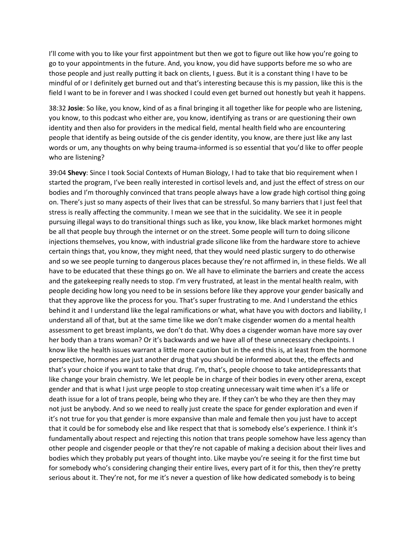I'll come with you to like your first appointment but then we got to figure out like how you're going to go to your appointments in the future. And, you know, you did have supports before me so who are those people and just really putting it back on clients, I guess. But it is a constant thing I have to be mindful of or I definitely get burned out and that's interesting because this is my passion, like this is the field I want to be in forever and I was shocked I could even get burned out honestly but yeah it happens.

38:32 **Josie**: So like, you know, kind of as a final bringing it all together like for people who are listening, you know, to this podcast who either are, you know, identifying as trans or are questioning their own identity and then also for providers in the medical field, mental health field who are encountering people that identify as being outside of the cis gender identity, you know, are there just like any last words or um, any thoughts on why being trauma-informed is so essential that you'd like to offer people who are listening?

39:04 **Shevy**: Since I took Social Contexts of Human Biology, I had to take that bio requirement when I started the program, I've been really interested in cortisol levels and, and just the effect of stress on our bodies and I'm thoroughly convinced that trans people always have a low grade high cortisol thing going on. There's just so many aspects of their lives that can be stressful. So many barriers that I just feel that stress is really affecting the community. I mean we see that in the suicidality. We see it in people pursuing illegal ways to do transitional things such as like, you know, like black market hormones might be all that people buy through the internet or on the street. Some people will turn to doing silicone injections themselves, you know, with industrial grade silicone like from the hardware store to achieve certain things that, you know, they might need, that they would need plastic surgery to do otherwise and so we see people turning to dangerous places because they're not affirmed in, in these fields. We all have to be educated that these things go on. We all have to eliminate the barriers and create the access and the gatekeeping really needs to stop. I'm very frustrated, at least in the mental health realm, with people deciding how long you need to be in sessions before like they approve your gender basically and that they approve like the process for you. That's super frustrating to me. And I understand the ethics behind it and I understand like the legal ramifications or what, what have you with doctors and liability, I understand all of that, but at the same time like we don't make cisgender women do a mental health assessment to get breast implants, we don't do that. Why does a cisgender woman have more say over her body than a trans woman? Or it's backwards and we have all of these unnecessary checkpoints. I know like the health issues warrant a little more caution but in the end this is, at least from the hormone perspective, hormones are just another drug that you should be informed about the, the effects and that's your choice if you want to take that drug. I'm, that's, people choose to take antidepressants that like change your brain chemistry. We let people be in charge of their bodies in every other arena, except gender and that is what I just urge people to stop creating unnecessary wait time when it's a life or death issue for a lot of trans people, being who they are. If they can't be who they are then they may not just be anybody. And so we need to really just create the space for gender exploration and even if it's not true for you that gender is more expansive than male and female then you just have to accept that it could be for somebody else and like respect that that is somebody else's experience. I think it's fundamentally about respect and rejecting this notion that trans people somehow have less agency than other people and cisgender people or that they're not capable of making a decision about their lives and bodies which they probably put years of thought into. Like maybe you're seeing it for the first time but for somebody who's considering changing their entire lives, every part of it for this, then they're pretty serious about it. They're not, for me it's never a question of like how dedicated somebody is to being